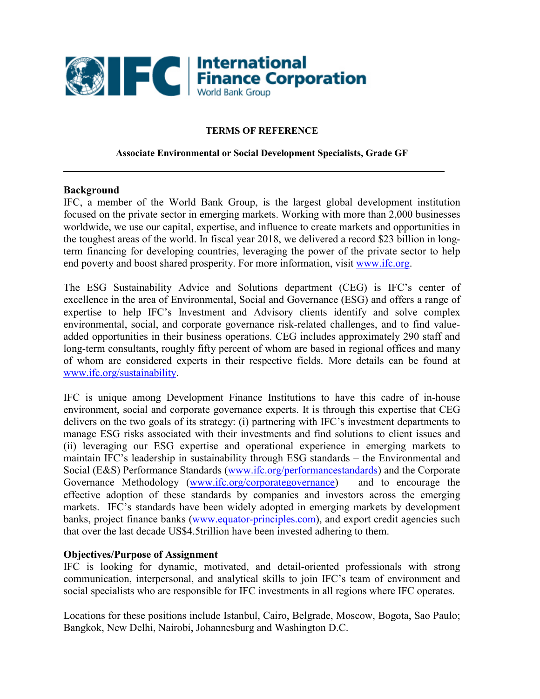

### **TERMS OF REFERENCE**

#### **Associate Environmental or Social Development Specialists, Grade GF**

#### **Background**

IFC, a member of the World Bank Group, is the largest global development institution focused on the private sector in emerging markets. Working with more than 2,000 businesses worldwide, we use our capital, expertise, and influence to create markets and opportunities in the toughest areas of the world. In fiscal year 2018, we delivered a record \$23 billion in longterm financing for developing countries, leveraging the power of the private sector to help end poverty and boost shared prosperity. For more information, visit [www.ifc.org.](http://www.ifc.org/)

The ESG Sustainability Advice and Solutions department (CEG) is IFC's center of excellence in the area of Environmental, Social and Governance (ESG) and offers a range of expertise to help IFC's Investment and Advisory clients identify and solve complex environmental, social, and corporate governance risk-related challenges, and to find valueadded opportunities in their business operations. CEG includes approximately 290 staff and long-term consultants, roughly fifty percent of whom are based in regional offices and many of whom are considered experts in their respective fields. More details can be found at [www.ifc.org/sustainability.](http://www.ifc.org/sustainability)

IFC is unique among Development Finance Institutions to have this cadre of in-house environment, social and corporate governance experts. It is through this expertise that CEG delivers on the two goals of its strategy: (i) partnering with IFC's investment departments to manage ESG risks associated with their investments and find solutions to client issues and (ii) leveraging our ESG expertise and operational experience in emerging markets to maintain IFC's leadership in sustainability through ESG standards – the Environmental and Social (E&S) Performance Standards [\(www.ifc.org/performancestandards\)](http://www.ifc.org/performancestandards) and the Corporate Governance Methodology [\(www.ifc.org/corporategovernance\)](http://www.ifc.org/corporategovernance) – and to encourage the effective adoption of these standards by companies and investors across the emerging markets. IFC's standards have been widely adopted in emerging markets by development banks, project finance banks [\(www.equator-principles.com\)](http://www.equator-principles.com/), and export credit agencies such that over the last decade US\$4.5trillion have been invested adhering to them.

#### **Objectives/Purpose of Assignment**

IFC is looking for dynamic, motivated, and detail-oriented professionals with strong communication, interpersonal, and analytical skills to join IFC's team of environment and social specialists who are responsible for IFC investments in all regions where IFC operates.

Locations for these positions include Istanbul, Cairo, Belgrade, Moscow, Bogota, Sao Paulo; Bangkok, New Delhi, Nairobi, Johannesburg and Washington D.C.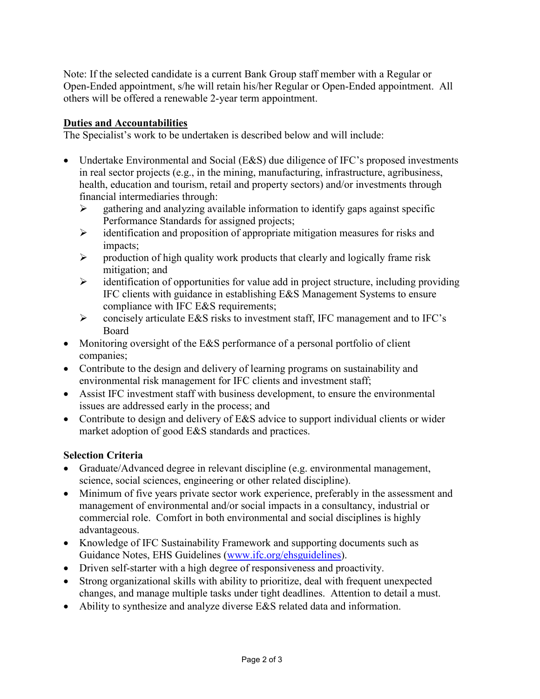Note: If the selected candidate is a current Bank Group staff member with a Regular or Open-Ended appointment, s/he will retain his/her Regular or Open-Ended appointment. All others will be offered a renewable 2-year term appointment.

## **Duties and Accountabilities**

The Specialist's work to be undertaken is described below and will include:

- Undertake Environmental and Social (E&S) due diligence of IFC's proposed investments in real sector projects (e.g., in the mining, manufacturing, infrastructure, agribusiness, health, education and tourism, retail and property sectors) and/or investments through financial intermediaries through:
	- $\triangleright$  gathering and analyzing available information to identify gaps against specific Performance Standards for assigned projects;
	- $\triangleright$  identification and proposition of appropriate mitigation measures for risks and impacts;
	- $\triangleright$  production of high quality work products that clearly and logically frame risk mitigation; and
	- $\triangleright$  identification of opportunities for value add in project structure, including providing IFC clients with guidance in establishing E&S Management Systems to ensure compliance with IFC E&S requirements;
	- $\triangleright$  concisely articulate E&S risks to investment staff, IFC management and to IFC's Board
- Monitoring oversight of the E&S performance of a personal portfolio of client companies;
- Contribute to the design and delivery of learning programs on sustainability and environmental risk management for IFC clients and investment staff;
- Assist IFC investment staff with business development, to ensure the environmental issues are addressed early in the process; and
- Contribute to design and delivery of E&S advice to support individual clients or wider market adoption of good E&S standards and practices.

# **Selection Criteria**

- Graduate/Advanced degree in relevant discipline (e.g. environmental management, science, social sciences, engineering or other related discipline).
- Minimum of five years private sector work experience, preferably in the assessment and management of environmental and/or social impacts in a consultancy, industrial or commercial role. Comfort in both environmental and social disciplines is highly advantageous.
- Knowledge of IFC Sustainability Framework and supporting documents such as Guidance Notes, EHS Guidelines [\(www.ifc.org/ehsguidelines\)](http://www.ifc.org/ehsguidelines).
- Driven self-starter with a high degree of responsiveness and proactivity.
- Strong organizational skills with ability to prioritize, deal with frequent unexpected changes, and manage multiple tasks under tight deadlines. Attention to detail a must.
- Ability to synthesize and analyze diverse E&S related data and information.